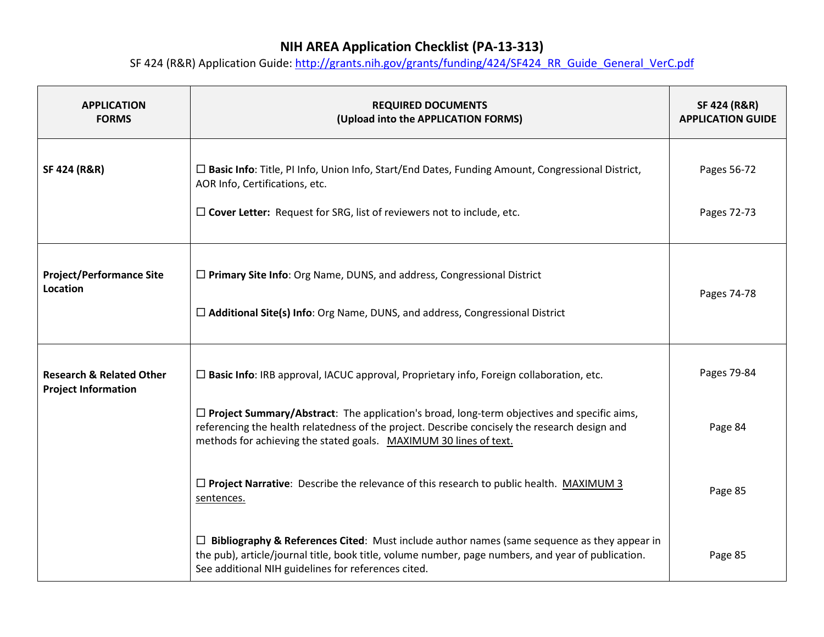| <b>APPLICATION</b><br><b>FORMS</b>                                | <b>REQUIRED DOCUMENTS</b><br>(Upload into the APPLICATION FORMS)                                                                                                                                                                                                        | <b>SF 424 (R&amp;R)</b><br><b>APPLICATION GUIDE</b> |
|-------------------------------------------------------------------|-------------------------------------------------------------------------------------------------------------------------------------------------------------------------------------------------------------------------------------------------------------------------|-----------------------------------------------------|
| <b>SF 424 (R&amp;R)</b>                                           | $\Box$ Basic Info: Title, PI Info, Union Info, Start/End Dates, Funding Amount, Congressional District,<br>AOR Info, Certifications, etc.                                                                                                                               | Pages 56-72                                         |
|                                                                   | $\square$ Cover Letter: Request for SRG, list of reviewers not to include, etc.                                                                                                                                                                                         | Pages 72-73                                         |
| <b>Project/Performance Site</b><br>Location                       | $\Box$ Primary Site Info: Org Name, DUNS, and address, Congressional District                                                                                                                                                                                           | Pages 74-78                                         |
|                                                                   | $\Box$ Additional Site(s) Info: Org Name, DUNS, and address, Congressional District                                                                                                                                                                                     |                                                     |
| <b>Research &amp; Related Other</b><br><b>Project Information</b> | $\square$ Basic Info: IRB approval, IACUC approval, Proprietary info, Foreign collaboration, etc.                                                                                                                                                                       | Pages 79-84                                         |
|                                                                   | $\Box$ Project Summary/Abstract: The application's broad, long-term objectives and specific aims,<br>referencing the health relatedness of the project. Describe concisely the research design and<br>methods for achieving the stated goals. MAXIMUM 30 lines of text. | Page 84                                             |
|                                                                   | $\Box$ Project Narrative: Describe the relevance of this research to public health. MAXIMUM 3<br>sentences.                                                                                                                                                             | Page 85                                             |
|                                                                   | $\Box$ Bibliography & References Cited: Must include author names (same sequence as they appear in<br>the pub), article/journal title, book title, volume number, page numbers, and year of publication.<br>See additional NIH guidelines for references cited.         | Page 85                                             |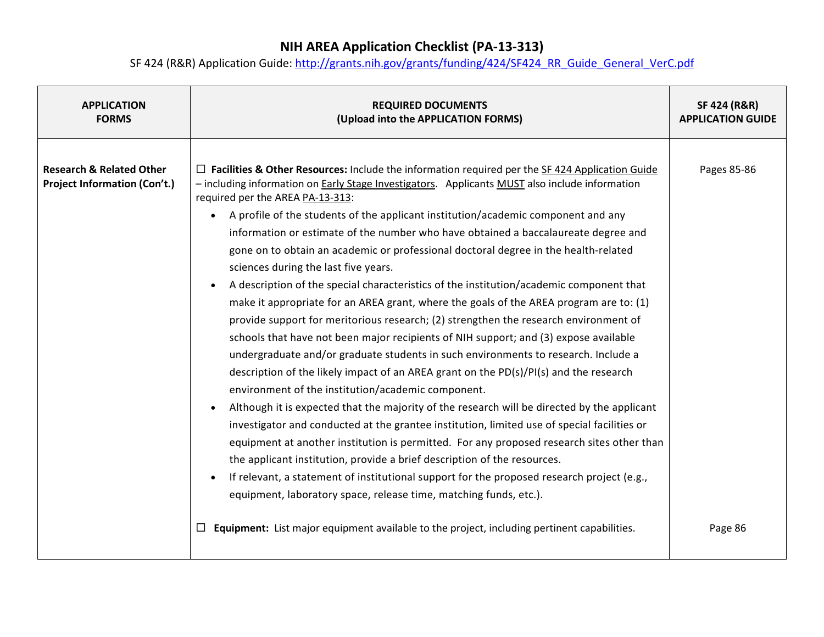| <b>APPLICATION</b><br><b>FORMS</b>                                         | <b>REQUIRED DOCUMENTS</b><br>(Upload into the APPLICATION FORMS)                                                                                                                                                                                                                                                                                                                                                                                                                                                                                                                                                                                                                                                                                                                                                                                                                                                                                                                                                                                                                                                                                                                                                                                                                                                                                                                                                                                                                                                                                                                                                                                                                                                                     | <b>SF 424 (R&amp;R)</b><br><b>APPLICATION GUIDE</b> |
|----------------------------------------------------------------------------|--------------------------------------------------------------------------------------------------------------------------------------------------------------------------------------------------------------------------------------------------------------------------------------------------------------------------------------------------------------------------------------------------------------------------------------------------------------------------------------------------------------------------------------------------------------------------------------------------------------------------------------------------------------------------------------------------------------------------------------------------------------------------------------------------------------------------------------------------------------------------------------------------------------------------------------------------------------------------------------------------------------------------------------------------------------------------------------------------------------------------------------------------------------------------------------------------------------------------------------------------------------------------------------------------------------------------------------------------------------------------------------------------------------------------------------------------------------------------------------------------------------------------------------------------------------------------------------------------------------------------------------------------------------------------------------------------------------------------------------|-----------------------------------------------------|
| <b>Research &amp; Related Other</b><br><b>Project Information (Con't.)</b> | $\Box$ Facilities & Other Resources: Include the information required per the SF 424 Application Guide<br>- including information on Early Stage Investigators. Applicants MUST also include information<br>required per the AREA PA-13-313:<br>A profile of the students of the applicant institution/academic component and any<br>$\bullet$<br>information or estimate of the number who have obtained a baccalaureate degree and<br>gone on to obtain an academic or professional doctoral degree in the health-related<br>sciences during the last five years.<br>A description of the special characteristics of the institution/academic component that<br>$\bullet$<br>make it appropriate for an AREA grant, where the goals of the AREA program are to: (1)<br>provide support for meritorious research; (2) strengthen the research environment of<br>schools that have not been major recipients of NIH support; and (3) expose available<br>undergraduate and/or graduate students in such environments to research. Include a<br>description of the likely impact of an AREA grant on the PD(s)/PI(s) and the research<br>environment of the institution/academic component.<br>Although it is expected that the majority of the research will be directed by the applicant<br>investigator and conducted at the grantee institution, limited use of special facilities or<br>equipment at another institution is permitted. For any proposed research sites other than<br>the applicant institution, provide a brief description of the resources.<br>If relevant, a statement of institutional support for the proposed research project (e.g.,<br>equipment, laboratory space, release time, matching funds, etc.). | Pages 85-86                                         |
|                                                                            | Equipment: List major equipment available to the project, including pertinent capabilities.                                                                                                                                                                                                                                                                                                                                                                                                                                                                                                                                                                                                                                                                                                                                                                                                                                                                                                                                                                                                                                                                                                                                                                                                                                                                                                                                                                                                                                                                                                                                                                                                                                          | Page 86                                             |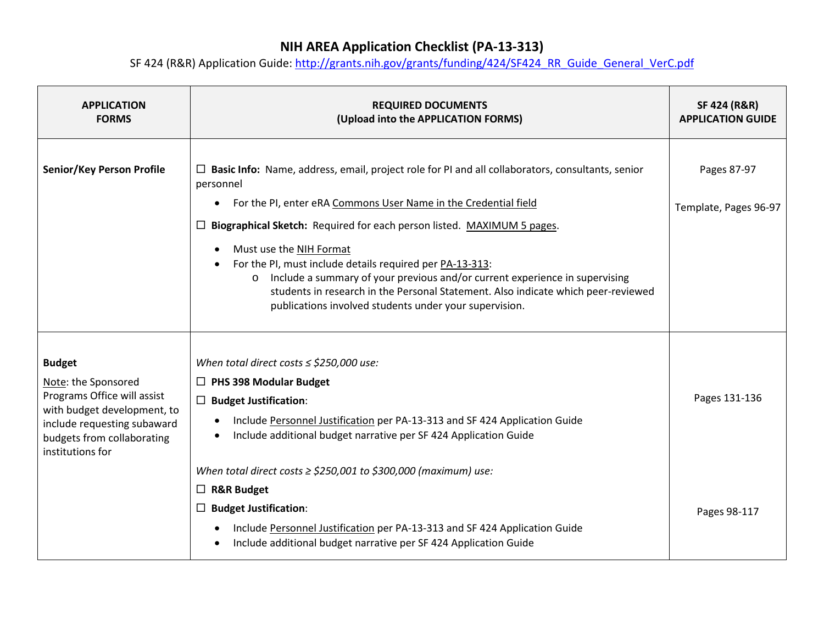| <b>APPLICATION</b><br><b>FORMS</b>                                                                                                                                                  | <b>REQUIRED DOCUMENTS</b><br>(Upload into the APPLICATION FORMS)                                                                                                                                                                                                                                                                                                                                                                                                                                                                                                                                           | SF 424 (R&R)<br><b>APPLICATION GUIDE</b> |
|-------------------------------------------------------------------------------------------------------------------------------------------------------------------------------------|------------------------------------------------------------------------------------------------------------------------------------------------------------------------------------------------------------------------------------------------------------------------------------------------------------------------------------------------------------------------------------------------------------------------------------------------------------------------------------------------------------------------------------------------------------------------------------------------------------|------------------------------------------|
| Senior/Key Person Profile                                                                                                                                                           | $\Box$ Basic Info: Name, address, email, project role for PI and all collaborators, consultants, senior<br>personnel<br>For the PI, enter eRA Commons User Name in the Credential field<br>$\bullet$<br>Biographical Sketch: Required for each person listed. MAXIMUM 5 pages.<br>ப<br>Must use the NIH Format<br>For the PI, must include details required per PA-13-313:<br>o Include a summary of your previous and/or current experience in supervising<br>students in research in the Personal Statement. Also indicate which peer-reviewed<br>publications involved students under your supervision. | Pages 87-97<br>Template, Pages 96-97     |
| <b>Budget</b><br>Note: the Sponsored<br>Programs Office will assist<br>with budget development, to<br>include requesting subaward<br>budgets from collaborating<br>institutions for | When total direct costs $\le$ \$250,000 use:<br>$\Box$ PHS 398 Modular Budget<br>$\Box$ Budget Justification:<br>Include Personnel Justification per PA-13-313 and SF 424 Application Guide<br>Include additional budget narrative per SF 424 Application Guide                                                                                                                                                                                                                                                                                                                                            | Pages 131-136                            |
|                                                                                                                                                                                     | When total direct costs $\ge$ \$250,001 to \$300,000 (maximum) use:<br>$\Box$ R&R Budget<br><b>Budget Justification:</b><br>$\Box$<br>Include Personnel Justification per PA-13-313 and SF 424 Application Guide<br>Include additional budget narrative per SF 424 Application Guide                                                                                                                                                                                                                                                                                                                       | Pages 98-117                             |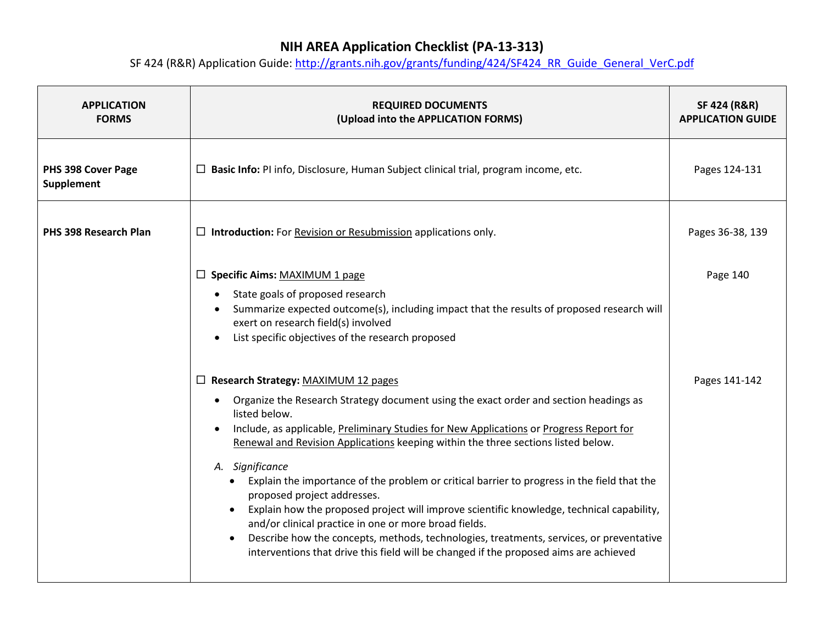| <b>APPLICATION</b><br><b>FORMS</b>      | <b>REQUIRED DOCUMENTS</b><br>(Upload into the APPLICATION FORMS)                                                                                                                                                                                                                                                                                                                                                                                                                                                                                                                                                                                                                                                                                                                                                                                                                                                                                                                                                                                                                                                        | <b>SF 424 (R&amp;R)</b><br><b>APPLICATION GUIDE</b> |
|-----------------------------------------|-------------------------------------------------------------------------------------------------------------------------------------------------------------------------------------------------------------------------------------------------------------------------------------------------------------------------------------------------------------------------------------------------------------------------------------------------------------------------------------------------------------------------------------------------------------------------------------------------------------------------------------------------------------------------------------------------------------------------------------------------------------------------------------------------------------------------------------------------------------------------------------------------------------------------------------------------------------------------------------------------------------------------------------------------------------------------------------------------------------------------|-----------------------------------------------------|
| PHS 398 Cover Page<br><b>Supplement</b> | $\Box$ Basic Info: PI info, Disclosure, Human Subject clinical trial, program income, etc.                                                                                                                                                                                                                                                                                                                                                                                                                                                                                                                                                                                                                                                                                                                                                                                                                                                                                                                                                                                                                              | Pages 124-131                                       |
| PHS 398 Research Plan                   | $\Box$ Introduction: For Revision or Resubmission applications only.                                                                                                                                                                                                                                                                                                                                                                                                                                                                                                                                                                                                                                                                                                                                                                                                                                                                                                                                                                                                                                                    | Pages 36-38, 139                                    |
|                                         | □ Specific Aims: MAXIMUM 1 page<br>State goals of proposed research<br>Summarize expected outcome(s), including impact that the results of proposed research will<br>exert on research field(s) involved<br>List specific objectives of the research proposed<br>□ Research Strategy: MAXIMUM 12 pages<br>Organize the Research Strategy document using the exact order and section headings as<br>$\bullet$<br>listed below.<br>Include, as applicable, Preliminary Studies for New Applications or Progress Report for<br>Renewal and Revision Applications keeping within the three sections listed below.<br>A. Significance<br>• Explain the importance of the problem or critical barrier to progress in the field that the<br>proposed project addresses.<br>Explain how the proposed project will improve scientific knowledge, technical capability,<br>and/or clinical practice in one or more broad fields.<br>Describe how the concepts, methods, technologies, treatments, services, or preventative<br>$\bullet$<br>interventions that drive this field will be changed if the proposed aims are achieved | Page 140<br>Pages 141-142                           |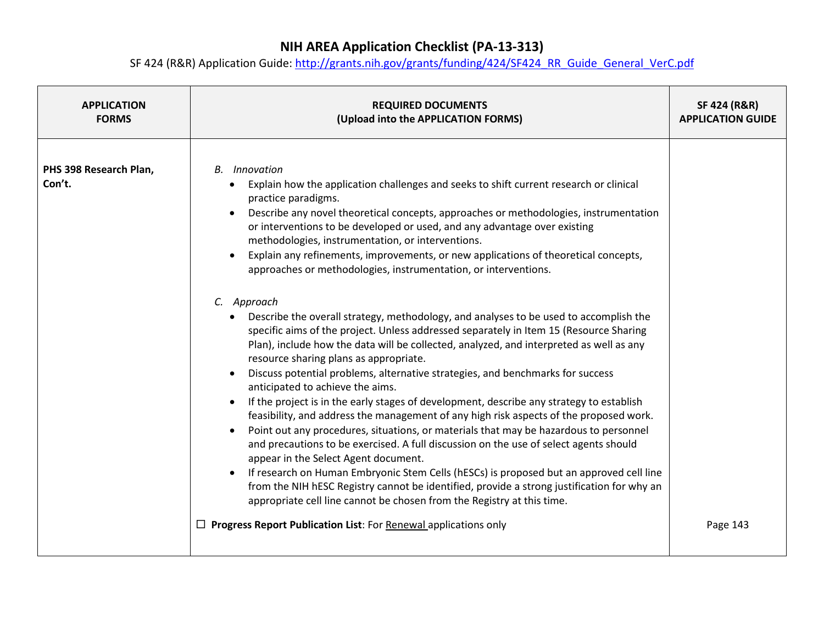| <b>APPLICATION</b>               | <b>REQUIRED DOCUMENTS</b>                                                                                                                                                                                                                                                                                                                                                                                                                                                                                                                                                                                                                                                                                                                                                                                                                                                                                                                                                                                                                                                                                                                                                                                                                                                                                                                                                                                                                                                                                                                                                                                                                                                                                                                                                                      | <b>SF 424 (R&amp;R)</b>  |
|----------------------------------|------------------------------------------------------------------------------------------------------------------------------------------------------------------------------------------------------------------------------------------------------------------------------------------------------------------------------------------------------------------------------------------------------------------------------------------------------------------------------------------------------------------------------------------------------------------------------------------------------------------------------------------------------------------------------------------------------------------------------------------------------------------------------------------------------------------------------------------------------------------------------------------------------------------------------------------------------------------------------------------------------------------------------------------------------------------------------------------------------------------------------------------------------------------------------------------------------------------------------------------------------------------------------------------------------------------------------------------------------------------------------------------------------------------------------------------------------------------------------------------------------------------------------------------------------------------------------------------------------------------------------------------------------------------------------------------------------------------------------------------------------------------------------------------------|--------------------------|
| <b>FORMS</b>                     | (Upload into the APPLICATION FORMS)                                                                                                                                                                                                                                                                                                                                                                                                                                                                                                                                                                                                                                                                                                                                                                                                                                                                                                                                                                                                                                                                                                                                                                                                                                                                                                                                                                                                                                                                                                                                                                                                                                                                                                                                                            | <b>APPLICATION GUIDE</b> |
| PHS 398 Research Plan,<br>Con't. | <b>Innovation</b><br>В.<br>Explain how the application challenges and seeks to shift current research or clinical<br>$\bullet$<br>practice paradigms.<br>Describe any novel theoretical concepts, approaches or methodologies, instrumentation<br>or interventions to be developed or used, and any advantage over existing<br>methodologies, instrumentation, or interventions.<br>Explain any refinements, improvements, or new applications of theoretical concepts,<br>approaches or methodologies, instrumentation, or interventions.<br>C. Approach<br>Describe the overall strategy, methodology, and analyses to be used to accomplish the<br>specific aims of the project. Unless addressed separately in Item 15 (Resource Sharing<br>Plan), include how the data will be collected, analyzed, and interpreted as well as any<br>resource sharing plans as appropriate.<br>Discuss potential problems, alternative strategies, and benchmarks for success<br>$\bullet$<br>anticipated to achieve the aims.<br>If the project is in the early stages of development, describe any strategy to establish<br>feasibility, and address the management of any high risk aspects of the proposed work.<br>Point out any procedures, situations, or materials that may be hazardous to personnel<br>and precautions to be exercised. A full discussion on the use of select agents should<br>appear in the Select Agent document.<br>If research on Human Embryonic Stem Cells (hESCs) is proposed but an approved cell line<br>$\bullet$<br>from the NIH hESC Registry cannot be identified, provide a strong justification for why an<br>appropriate cell line cannot be chosen from the Registry at this time.<br>$\Box$ Progress Report Publication List: For Renewal applications only | Page 143                 |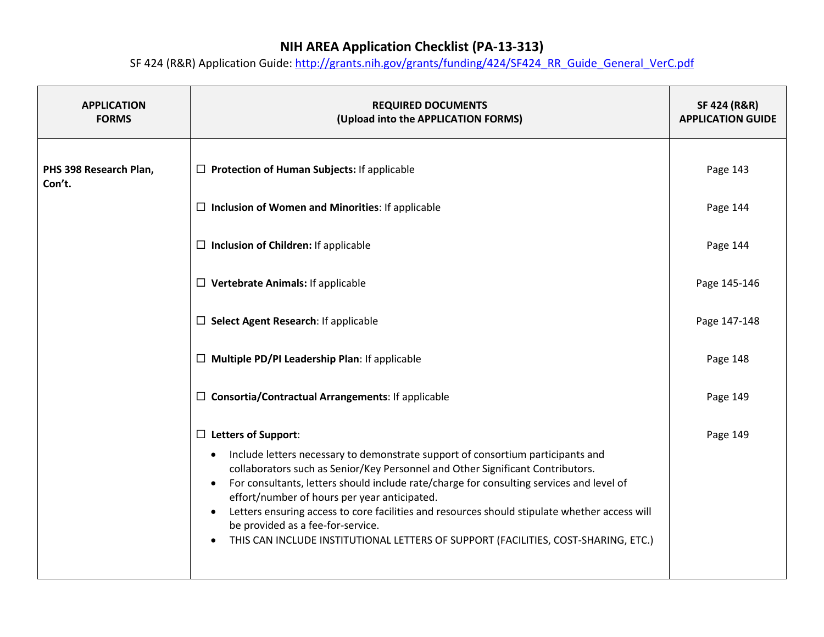| <b>APPLICATION</b><br><b>FORMS</b> | <b>REQUIRED DOCUMENTS</b><br>(Upload into the APPLICATION FORMS)                                                                                                                                                                                                                                                                                                                                                                                                                                                                                                                                                            | <b>SF 424 (R&amp;R)</b><br><b>APPLICATION GUIDE</b> |
|------------------------------------|-----------------------------------------------------------------------------------------------------------------------------------------------------------------------------------------------------------------------------------------------------------------------------------------------------------------------------------------------------------------------------------------------------------------------------------------------------------------------------------------------------------------------------------------------------------------------------------------------------------------------------|-----------------------------------------------------|
| PHS 398 Research Plan,<br>Con't.   | $\Box$ Protection of Human Subjects: If applicable                                                                                                                                                                                                                                                                                                                                                                                                                                                                                                                                                                          | Page 143                                            |
|                                    | $\Box$ Inclusion of Women and Minorities: If applicable                                                                                                                                                                                                                                                                                                                                                                                                                                                                                                                                                                     | Page 144                                            |
|                                    | $\Box$ Inclusion of Children: If applicable                                                                                                                                                                                                                                                                                                                                                                                                                                                                                                                                                                                 | Page 144                                            |
|                                    | $\Box$ Vertebrate Animals: If applicable                                                                                                                                                                                                                                                                                                                                                                                                                                                                                                                                                                                    | Page 145-146                                        |
|                                    | $\Box$ Select Agent Research: If applicable                                                                                                                                                                                                                                                                                                                                                                                                                                                                                                                                                                                 | Page 147-148                                        |
|                                    | $\Box$ Multiple PD/PI Leadership Plan: If applicable                                                                                                                                                                                                                                                                                                                                                                                                                                                                                                                                                                        | Page 148                                            |
|                                    | $\Box$ Consortia/Contractual Arrangements: If applicable                                                                                                                                                                                                                                                                                                                                                                                                                                                                                                                                                                    | Page 149                                            |
|                                    | $\Box$ Letters of Support:<br>Include letters necessary to demonstrate support of consortium participants and<br>$\bullet$<br>collaborators such as Senior/Key Personnel and Other Significant Contributors.<br>For consultants, letters should include rate/charge for consulting services and level of<br>$\bullet$<br>effort/number of hours per year anticipated.<br>Letters ensuring access to core facilities and resources should stipulate whether access will<br>$\bullet$<br>be provided as a fee-for-service.<br>THIS CAN INCLUDE INSTITUTIONAL LETTERS OF SUPPORT (FACILITIES, COST-SHARING, ETC.)<br>$\bullet$ | Page 149                                            |